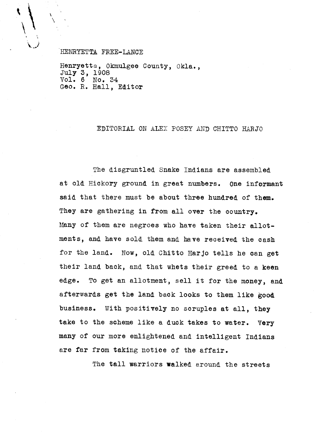HENRYETTA FREE-LANCE

 $\bigg\{ \bigg\}$ 

Henryetta, Okmulgee County, Okla., July 3, 1908<br>Vol. 6 No. 3 No. 34 Geo. R. Hall, Editor

EDITORIAL ON ALEX POSEY AND CHITTO HARJO

The disgruntled Snake Indians are assembled at old Hickory ground in great numbers. One informant said that there must be about three hundred of them. They are gathering in from all over the country. Many of them are negroes who have taken their allotments, and have sold them and have received the cash for the land. Now, old Chitto Harjo tells he can get their land back, and that whets their greed to a keen edge. To get an allotment, sell it for the money, and afterwards get the land back looks to them like good business. With positively no scruples at all, they take to the scheme like a duck takes to water. Very many of our more enlightened and intelligent Indians are far from taking notice of the affair.

The tall warriors walked around the streets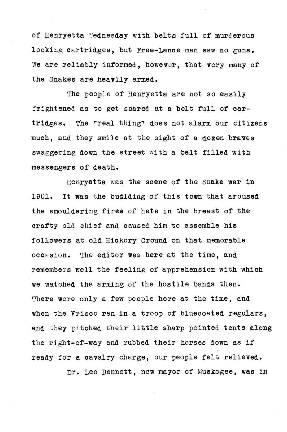of Henryetta Wednesday with belts full of murderous looking cartridges, but Free-Lance man saw no guns. We are reliably informed, however, that very many of the Snakes are heavily armed.

The people of Henryetta are not so easily frightened, as to get soared at a belt full of **cartridges.** The "real thing" does not alarm our citizens much, and they smile at the sight of a dozen braves swaggering down the street with a belt filled with messengers of death.

Henryetta was the scene of the Snake war in 1901. It was the building of this town that aroused the smouldering fires of hate in the breast of the crafty old chief and caused him to assemble his followers at old Hickory Ground on that memorable occasion. The editor was here at the time, and remembers well the feeling of apprehension with which we watched the arming of the hostile bands then. There were only a few people here at the time, and when the Frisco ran in a troop of bluecoated regulars, and they pitched their little sharp pointed tents along the right-of-way and rubbed their horses down as if ready for a cavalry charge, our people felt relieved.

Dr. Leo Bennett, now mayor of Muskogee, was in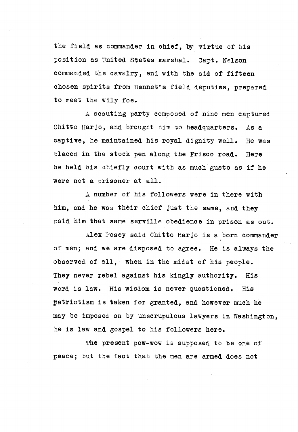the field as commander in chief, by virtue of his position as United States marshal. Capt. Nelson commanded the cavalry, and with the aid of fifteen chosen spirits from Bennet's field deputies, prepared to meet the wily foe.

A scouting party composed of nine men captured Chitto Harjo, and brought him to headquarters. As a captive, he maintained his royal dignity well. He was placed in the stock pen along the Frisco road. Here he held his chiefly court with as much gusto as if he were not a prisoner at all.

ri

A number of his followers were in there with him, and he was their chief just the same, and they paid him that same serville obedience in prison as out.

Alex Posey said Chitto Harjo is a born commander of men; and we are disposed to agree. He is always the observed of all, when in the midst of his people. They never rebel against his kingly authority. His word is law. His wisdom is never questioned. His patriotism is taken for granted, and however much he may be imposed on by unscrupulous lawyers in Washington, he is law and gospel to his followers here.

The present pow-wow is supposed to be one of peace; but the fact that the men are armed does not,